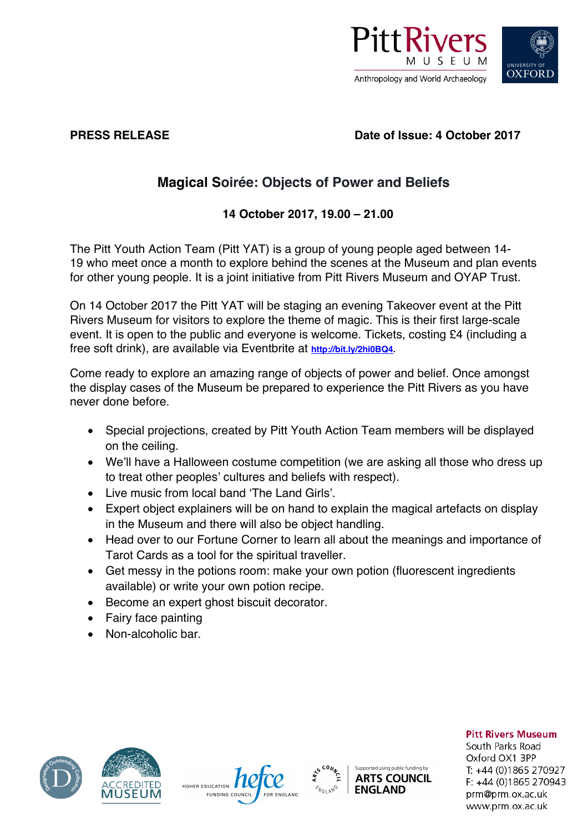

## **PRESS RELEASE Date of Issue: 4 October 2017**

# **Magical Soirée: Objects of Power and Beliefs**

# **14 October 2017, 19.00 – 21.00**

The Pitt Youth Action Team (Pitt YAT) is a group of young people aged between 14- 19 who meet once a month to explore behind the scenes at the Museum and plan events for other young people. It is a joint initiative from Pitt Rivers Museum and OYAP Trust.

On 14 October 2017 the Pitt YAT will be staging an evening Takeover event at the Pitt Rivers Museum for visitors to explore the theme of magic. This is their first large-scale event. It is open to the public and everyone is welcome. Tickets, costing £4 (including a free soft drink), are available via Eventbrite at **http://bit.ly/2hi0BQ4.** 

Come ready to explore an amazing range of objects of power and belief. Once amongst the display cases of the Museum be prepared to experience the Pitt Rivers as you have never done before.

- Special projections, created by Pitt Youth Action Team members will be displayed on the ceiling.
- We'll have a Halloween costume competition (we are asking all those who dress up to treat other peoples' cultures and beliefs with respect).
- Live music from local band 'The Land Girls'.
- Expert object explainers will be on hand to explain the magical artefacts on display in the Museum and there will also be object handling.
- Head over to our Fortune Corner to learn all about the meanings and importance of Tarot Cards as a tool for the spiritual traveller.
- Get messy in the potions room: make your own potion (fluorescent ingredients available) or write your own potion recipe.
- Become an expert ghost biscuit decorator.
- Fairy face painting
- Non-alcoholic bar.









### **Pitt Rivers Museum**

South Parks Road Oxford OX1 3PP T: +44 (0)1865 270927  $F: +44(0)1865270943$ prm@prm.ox.ac.uk www.prm.ox.ac.uk